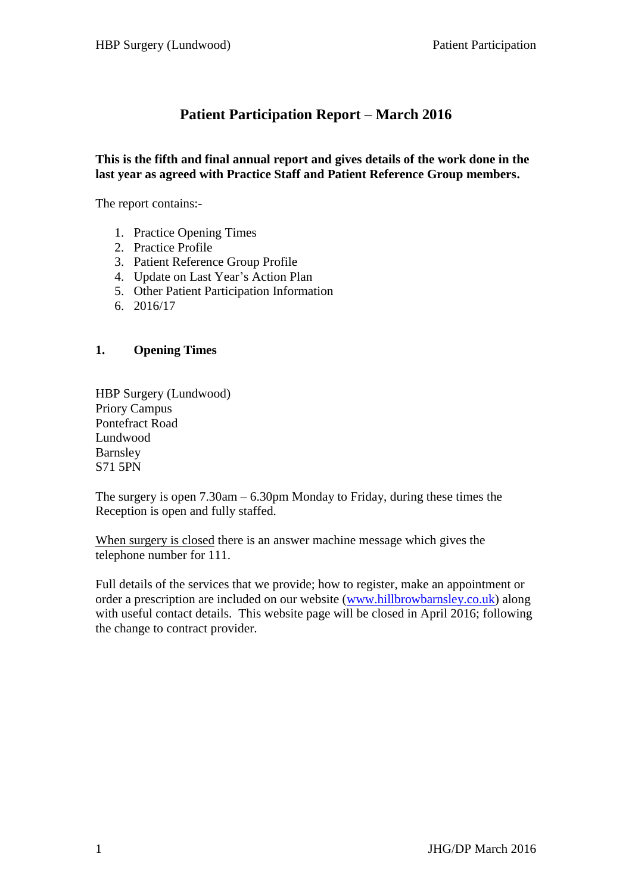# **Patient Participation Report – March 2016**

#### **This is the fifth and final annual report and gives details of the work done in the last year as agreed with Practice Staff and Patient Reference Group members.**

The report contains:-

- 1. Practice Opening Times
- 2. Practice Profile
- 3. Patient Reference Group Profile
- 4. Update on Last Year's Action Plan
- 5. Other Patient Participation Information
- 6. 2016/17

#### **1. Opening Times**

HBP Surgery (Lundwood) Priory Campus Pontefract Road Lundwood Barnsley S71 5PN

The surgery is open 7.30am – 6.30pm Monday to Friday, during these times the Reception is open and fully staffed.

When surgery is closed there is an answer machine message which gives the telephone number for 111.

Full details of the services that we provide; how to register, make an appointment or order a prescription are included on our website [\(www.hillbrowbarnsley.co.uk\)](http://www.hillbrowbarnsley.co.uk/) along with useful contact details. This website page will be closed in April 2016; following the change to contract provider.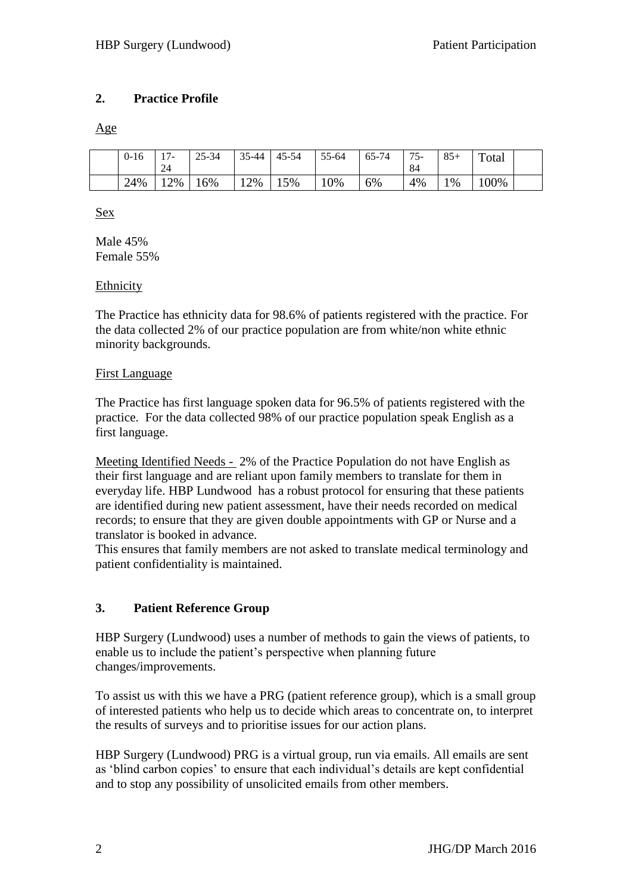### **2. Practice Profile**

Age

| $0 - 16$ | $\sim$<br>$\prime$ $-$<br>24 | $25 - 34$ | $35 - 44$ | 45-54 | 55-64 | 65-74 | $75-$<br>84 | $85+$ | Total |  |
|----------|------------------------------|-----------|-----------|-------|-------|-------|-------------|-------|-------|--|
| 24%      | 2%                           | 16%       | 2%        | 15%   | 0%    | 6%    | 4%          | $\%$  | 100%  |  |

Sex

Male 45% Female 55%

#### Ethnicity

The Practice has ethnicity data for 98.6% of patients registered with the practice. For the data collected 2% of our practice population are from white/non white ethnic minority backgrounds.

#### First Language

The Practice has first language spoken data for 96.5% of patients registered with the practice. For the data collected 98% of our practice population speak English as a first language.

Meeting Identified Needs - 2% of the Practice Population do not have English as their first language and are reliant upon family members to translate for them in everyday life. HBP Lundwood has a robust protocol for ensuring that these patients are identified during new patient assessment, have their needs recorded on medical records; to ensure that they are given double appointments with GP or Nurse and a translator is booked in advance.

This ensures that family members are not asked to translate medical terminology and patient confidentiality is maintained.

### **3. Patient Reference Group**

HBP Surgery (Lundwood) uses a number of methods to gain the views of patients, to enable us to include the patient's perspective when planning future changes/improvements.

To assist us with this we have a PRG (patient reference group), which is a small group of interested patients who help us to decide which areas to concentrate on, to interpret the results of surveys and to prioritise issues for our action plans.

HBP Surgery (Lundwood) PRG is a virtual group, run via emails. All emails are sent as 'blind carbon copies' to ensure that each individual's details are kept confidential and to stop any possibility of unsolicited emails from other members.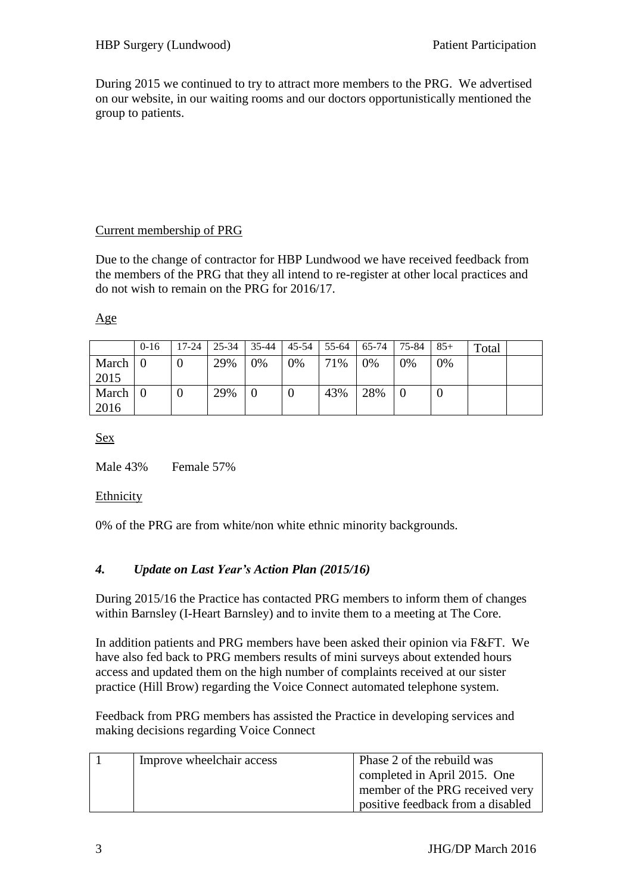During 2015 we continued to try to attract more members to the PRG. We advertised on our website, in our waiting rooms and our doctors opportunistically mentioned the group to patients.

### Current membership of PRG

Due to the change of contractor for HBP Lundwood we have received feedback from the members of the PRG that they all intend to re-register at other local practices and do not wish to remain on the PRG for 2016/17.

### Age

|               | $0 - 16$ | 17-24 | 25-34 | 35-44 | 45-54 | $155-64$ | 65-74 | 75-84 | $85+$ | Total |  |
|---------------|----------|-------|-------|-------|-------|----------|-------|-------|-------|-------|--|
| March<br>2015 |          |       | 29%   | 0%    | 0%    | 71%      | $0\%$ | 0%    | 0%    |       |  |
| March<br>2016 |          |       | 29%   |       | U     | 43%      | 28%   |       |       |       |  |

Sex

Male 43% Female 57%

#### Ethnicity

0% of the PRG are from white/non white ethnic minority backgrounds.

### *4. Update on Last Year's Action Plan (2015/16)*

During 2015/16 the Practice has contacted PRG members to inform them of changes within Barnsley (I-Heart Barnsley) and to invite them to a meeting at The Core.

In addition patients and PRG members have been asked their opinion via F&FT. We have also fed back to PRG members results of mini surveys about extended hours access and updated them on the high number of complaints received at our sister practice (Hill Brow) regarding the Voice Connect automated telephone system.

Feedback from PRG members has assisted the Practice in developing services and making decisions regarding Voice Connect

| Improve wheelchair access | Phase 2 of the rebuild was        |  |  |  |  |
|---------------------------|-----------------------------------|--|--|--|--|
|                           | completed in April 2015. One      |  |  |  |  |
|                           | member of the PRG received very   |  |  |  |  |
|                           | positive feedback from a disabled |  |  |  |  |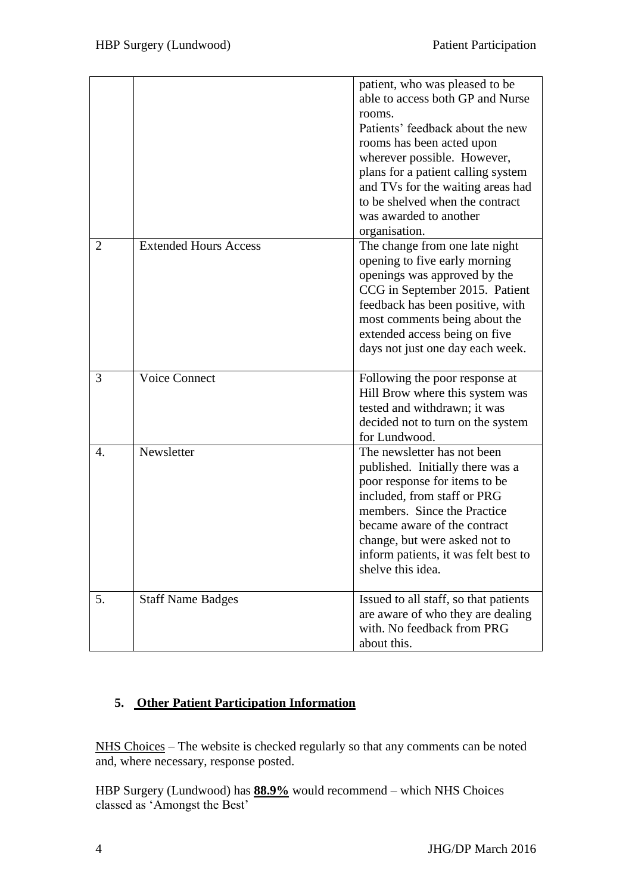|                |                              | patient, who was pleased to be<br>able to access both GP and Nurse<br>rooms.<br>Patients' feedback about the new<br>rooms has been acted upon<br>wherever possible. However,<br>plans for a patient calling system<br>and TVs for the waiting areas had<br>to be shelved when the contract<br>was awarded to another<br>organisation. |
|----------------|------------------------------|---------------------------------------------------------------------------------------------------------------------------------------------------------------------------------------------------------------------------------------------------------------------------------------------------------------------------------------|
| $\overline{2}$ | <b>Extended Hours Access</b> | The change from one late night<br>opening to five early morning<br>openings was approved by the<br>CCG in September 2015. Patient<br>feedback has been positive, with<br>most comments being about the<br>extended access being on five<br>days not just one day each week.                                                           |
| 3              | <b>Voice Connect</b>         | Following the poor response at<br>Hill Brow where this system was<br>tested and withdrawn; it was<br>decided not to turn on the system<br>for Lundwood.                                                                                                                                                                               |
| 4.             | Newsletter                   | The newsletter has not been<br>published. Initially there was a<br>poor response for items to be<br>included, from staff or PRG<br>members. Since the Practice<br>became aware of the contract<br>change, but were asked not to<br>inform patients, it was felt best to<br>shelve this idea.                                          |
| 5.             | <b>Staff Name Badges</b>     | Issued to all staff, so that patients<br>are aware of who they are dealing<br>with. No feedback from PRG<br>about this.                                                                                                                                                                                                               |

## **5. Other Patient Participation Information**

NHS Choices – The website is checked regularly so that any comments can be noted and, where necessary, response posted.

HBP Surgery (Lundwood) has **88.9%** would recommend – which NHS Choices classed as 'Amongst the Best'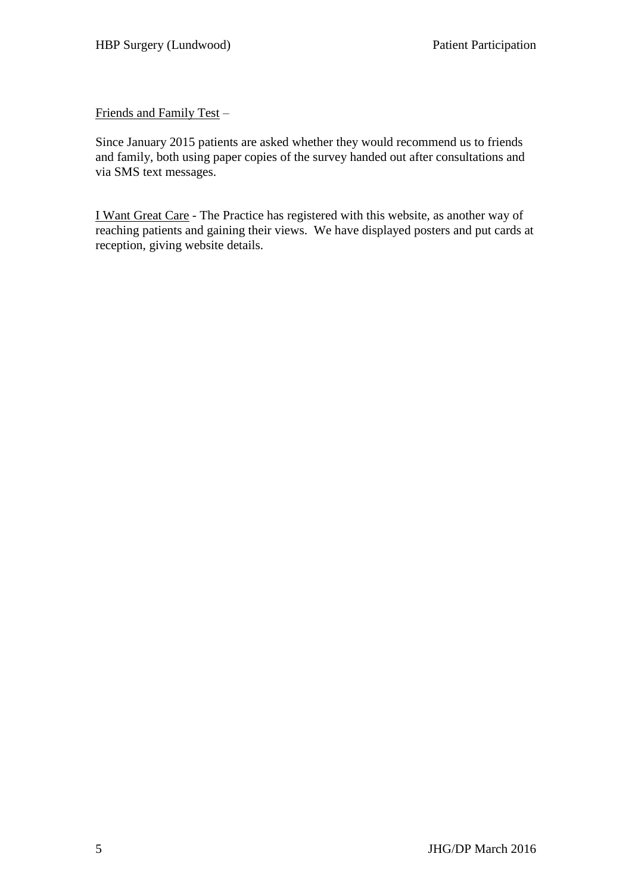Friends and Family Test –

Since January 2015 patients are asked whether they would recommend us to friends and family, both using paper copies of the survey handed out after consultations and via SMS text messages.

I Want Great Care - The Practice has registered with this website, as another way of reaching patients and gaining their views. We have displayed posters and put cards at reception, giving website details.